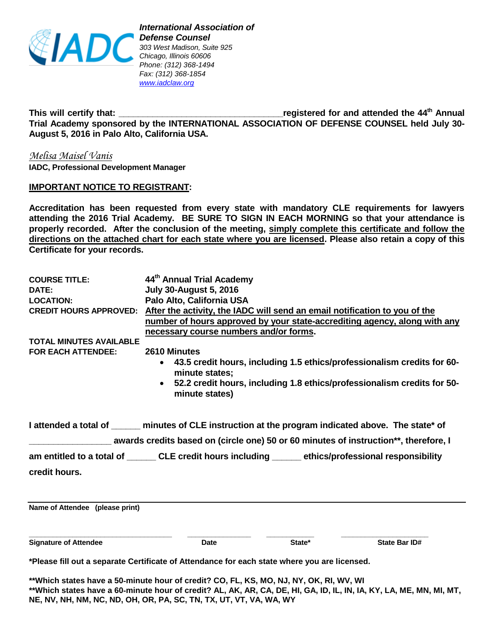

**This will certify that: \_\_\_\_\_\_\_\_\_\_\_\_\_\_\_\_\_\_\_\_\_\_\_\_\_\_\_\_\_\_\_\_\_\_registered for and attended the 44th Annual Trial Academy sponsored by the INTERNATIONAL ASSOCIATION OF DEFENSE COUNSEL held July 30- August 5, 2016 in Palo Alto, California USA.**

*Melisa Maisel Vanis*  **IADC, Professional Development Manager**

### **IMPORTANT NOTICE TO REGISTRANT:**

**Accreditation has been requested from every state with mandatory CLE requirements for lawyers attending the 2016 Trial Academy. BE SURE TO SIGN IN EACH MORNING so that your attendance is properly recorded. After the conclusion of the meeting, simply complete this certificate and follow the directions on the attached chart for each state where you are licensed. Please also retain a copy of this Certificate for your records.**

| <b>COURSE TITLE:</b><br>DATE:<br><b>LOCATION:</b><br><b>CREDIT HOURS APPROVED:</b><br><b>TOTAL MINUTES AVAILABLE</b><br><b>FOR EACH ATTENDEE:</b> | 44 <sup>th</sup> Annual Trial Academy<br><b>July 30-August 5, 2016</b><br>Palo Alto, California USA<br>After the activity, the IADC will send an email notification to you of the<br>necessary course numbers and/or forms.<br>2610 Minutes<br>$\bullet$<br>minute states:<br>$\bullet$ |        | number of hours approved by your state-accrediting agency, along with any<br>43.5 credit hours, including 1.5 ethics/professionalism credits for 60-<br>52.2 credit hours, including 1.8 ethics/professionalism credits for 50- |
|---------------------------------------------------------------------------------------------------------------------------------------------------|-----------------------------------------------------------------------------------------------------------------------------------------------------------------------------------------------------------------------------------------------------------------------------------------|--------|---------------------------------------------------------------------------------------------------------------------------------------------------------------------------------------------------------------------------------|
| I attended a total of ______ minutes of CLE instruction at the program indicated above. The state* of                                             | minute states)                                                                                                                                                                                                                                                                          |        |                                                                                                                                                                                                                                 |
|                                                                                                                                                   | awards credits based on (circle one) 50 or 60 minutes of instruction**, therefore, I                                                                                                                                                                                                    |        |                                                                                                                                                                                                                                 |
| am entitled to a total of ________ CLE credit hours including _______ ethics/professional responsibility                                          |                                                                                                                                                                                                                                                                                         |        |                                                                                                                                                                                                                                 |
| credit hours.                                                                                                                                     |                                                                                                                                                                                                                                                                                         |        |                                                                                                                                                                                                                                 |
| Name of Attendee (please print)                                                                                                                   |                                                                                                                                                                                                                                                                                         |        |                                                                                                                                                                                                                                 |
| <b>Signature of Attendee</b>                                                                                                                      | <b>Date</b>                                                                                                                                                                                                                                                                             | State* | <b>State Bar ID#</b>                                                                                                                                                                                                            |

**\*Please fill out a separate Certificate of Attendance for each state where you are licensed.**

**\*\*Which states have a 50**‐**minute hour of credit? CO, FL, KS, MO, NJ, NY, OK, RI, WV, WI \*\*Which states have a 60**‐**minute hour of credit? AL, AK, AR, CA, DE, HI, GA, ID, IL, IN, IA, KY, LA, ME, MN, MI, MT, NE, NV, NH, NM, NC, ND, OH, OR, PA, SC, TN, TX, UT, VT, VA, WA, WY**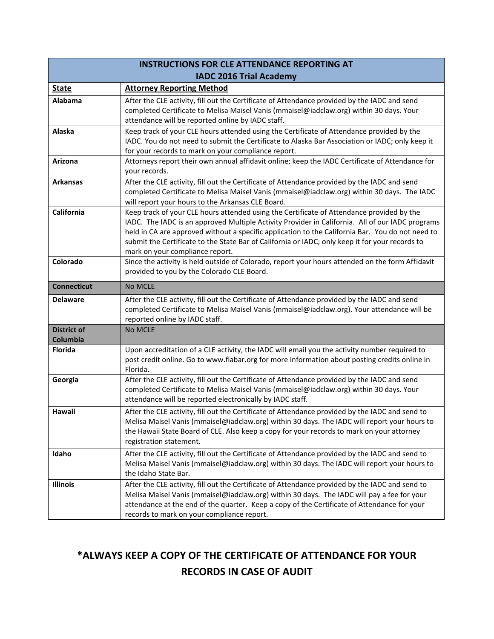| <b>INSTRUCTIONS FOR CLE ATTENDANCE REPORTING AT</b> |                                                                                                                                                                                                                                                                                                                                                                                                                                         |  |
|-----------------------------------------------------|-----------------------------------------------------------------------------------------------------------------------------------------------------------------------------------------------------------------------------------------------------------------------------------------------------------------------------------------------------------------------------------------------------------------------------------------|--|
| <b>IADC 2016 Trial Academy</b>                      |                                                                                                                                                                                                                                                                                                                                                                                                                                         |  |
| <b>State</b>                                        | <b>Attorney Reporting Method</b>                                                                                                                                                                                                                                                                                                                                                                                                        |  |
| Alabama                                             | After the CLE activity, fill out the Certificate of Attendance provided by the IADC and send<br>completed Certificate to Melisa Maisel Vanis (mmaisel@iadclaw.org) within 30 days. Your<br>attendance will be reported online by IADC staff.                                                                                                                                                                                            |  |
| Alaska                                              | Keep track of your CLE hours attended using the Certificate of Attendance provided by the<br>IADC. You do not need to submit the Certificate to Alaska Bar Association or IADC; only keep it<br>for your records to mark on your compliance report.                                                                                                                                                                                     |  |
| Arizona                                             | Attorneys report their own annual affidavit online; keep the IADC Certificate of Attendance for<br>your records.                                                                                                                                                                                                                                                                                                                        |  |
| <b>Arkansas</b>                                     | After the CLE activity, fill out the Certificate of Attendance provided by the IADC and send<br>completed Certificate to Melisa Maisel Vanis (mmaisel@iadclaw.org) within 30 days. The IADC<br>will report your hours to the Arkansas CLE Board.                                                                                                                                                                                        |  |
| California                                          | Keep track of your CLE hours attended using the Certificate of Attendance provided by the<br>IADC. The IADC is an approved Multiple Activity Provider in California. All of our IADC programs<br>held in CA are approved without a specific application to the California Bar. You do not need to<br>submit the Certificate to the State Bar of California or IADC; only keep it for your records to<br>mark on your compliance report. |  |
| Colorado                                            | Since the activity is held outside of Colorado, report your hours attended on the form Affidavit<br>provided to you by the Colorado CLE Board.                                                                                                                                                                                                                                                                                          |  |
| <b>Connecticut</b>                                  | No MCLE                                                                                                                                                                                                                                                                                                                                                                                                                                 |  |
| <b>Delaware</b>                                     | After the CLE activity, fill out the Certificate of Attendance provided by the IADC and send<br>completed Certificate to Melisa Maisel Vanis (mmaisel@iadclaw.org). Your attendance will be<br>reported online by IADC staff.                                                                                                                                                                                                           |  |
| <b>District of</b><br>Columbia                      | <b>No MCLE</b>                                                                                                                                                                                                                                                                                                                                                                                                                          |  |
| Florida                                             | Upon accreditation of a CLE activity, the IADC will email you the activity number required to<br>post credit online. Go to www.flabar.org for more information about posting credits online in<br>Florida.                                                                                                                                                                                                                              |  |
| Georgia                                             | After the CLE activity, fill out the Certificate of Attendance provided by the IADC and send<br>completed Certificate to Melisa Maisel Vanis (mmaisel@iadclaw.org) within 30 days. Your<br>attendance will be reported electronically by IADC staff.                                                                                                                                                                                    |  |
| Hawaii                                              | After the CLE activity, fill out the Certificate of Attendance provided by the IADC and send to<br>Melisa Maisel Vanis (mmaisel@iadclaw.org) within 30 days. The IADC will report your hours to<br>the Hawaii State Board of CLE. Also keep a copy for your records to mark on your attorney<br>registration statement.                                                                                                                 |  |
| Idaho                                               | After the CLE activity, fill out the Certificate of Attendance provided by the IADC and send to<br>Melisa Maisel Vanis (mmaisel@iadclaw.org) within 30 days. The IADC will report your hours to<br>the Idaho State Bar.                                                                                                                                                                                                                 |  |
| Illinois                                            | After the CLE activity, fill out the Certificate of Attendance provided by the IADC and send to<br>Melisa Maisel Vanis (mmaisel@iadclaw.org) within 30 days. The IADC will pay a fee for your<br>attendance at the end of the quarter. Keep a copy of the Certificate of Attendance for your<br>records to mark on your compliance report.                                                                                              |  |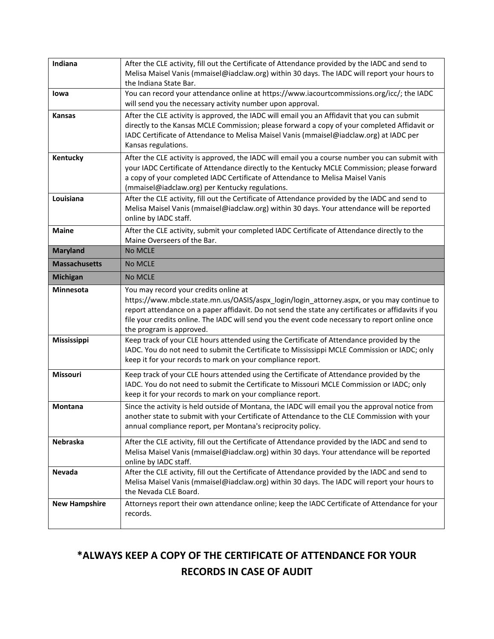| Indiana              | After the CLE activity, fill out the Certificate of Attendance provided by the IADC and send to<br>Melisa Maisel Vanis (mmaisel@iadclaw.org) within 30 days. The IADC will report your hours to<br>the Indiana State Bar.                                                                                                                                                 |
|----------------------|---------------------------------------------------------------------------------------------------------------------------------------------------------------------------------------------------------------------------------------------------------------------------------------------------------------------------------------------------------------------------|
| lowa                 | You can record your attendance online at https://www.iacourtcommissions.org/icc/; the IADC<br>will send you the necessary activity number upon approval.                                                                                                                                                                                                                  |
| <b>Kansas</b>        | After the CLE activity is approved, the IADC will email you an Affidavit that you can submit<br>directly to the Kansas MCLE Commission; please forward a copy of your completed Affidavit or<br>IADC Certificate of Attendance to Melisa Maisel Vanis (mmaisel@iadclaw.org) at IADC per<br>Kansas regulations.                                                            |
| Kentucky             | After the CLE activity is approved, the IADC will email you a course number you can submit with<br>your IADC Certificate of Attendance directly to the Kentucky MCLE Commission; please forward<br>a copy of your completed IADC Certificate of Attendance to Melisa Maisel Vanis<br>(mmaisel@iadclaw.org) per Kentucky regulations.                                      |
| Louisiana            | After the CLE activity, fill out the Certificate of Attendance provided by the IADC and send to<br>Melisa Maisel Vanis (mmaisel@iadclaw.org) within 30 days. Your attendance will be reported<br>online by IADC staff.                                                                                                                                                    |
| <b>Maine</b>         | After the CLE activity, submit your completed IADC Certificate of Attendance directly to the<br>Maine Overseers of the Bar.                                                                                                                                                                                                                                               |
| <b>Maryland</b>      | No MCLE                                                                                                                                                                                                                                                                                                                                                                   |
| <b>Massachusetts</b> | No MCLE                                                                                                                                                                                                                                                                                                                                                                   |
| <b>Michigan</b>      | No MCLE                                                                                                                                                                                                                                                                                                                                                                   |
| <b>Minnesota</b>     | You may record your credits online at<br>https://www.mbcle.state.mn.us/OASIS/aspx_login/login_attorney.aspx, or you may continue to<br>report attendance on a paper affidavit. Do not send the state any certificates or affidavits if you<br>file your credits online. The IADC will send you the event code necessary to report online once<br>the program is approved. |
| Mississippi          | Keep track of your CLE hours attended using the Certificate of Attendance provided by the<br>IADC. You do not need to submit the Certificate to Mississippi MCLE Commission or IADC; only<br>keep it for your records to mark on your compliance report.                                                                                                                  |
| Missouri             | Keep track of your CLE hours attended using the Certificate of Attendance provided by the<br>IADC. You do not need to submit the Certificate to Missouri MCLE Commission or IADC; only<br>keep it for your records to mark on your compliance report.                                                                                                                     |
| Montana              | Since the activity is held outside of Montana, the IADC will email you the approval notice from<br>another state to submit with your Certificate of Attendance to the CLE Commission with your<br>annual compliance report, per Montana's reciprocity policy.                                                                                                             |
| Nebraska             | After the CLE activity, fill out the Certificate of Attendance provided by the IADC and send to<br>Melisa Maisel Vanis (mmaisel@iadclaw.org) within 30 days. Your attendance will be reported<br>online by IADC staff.                                                                                                                                                    |
| Nevada               | After the CLE activity, fill out the Certificate of Attendance provided by the IADC and send to<br>Melisa Maisel Vanis (mmaisel@iadclaw.org) within 30 days. The IADC will report your hours to<br>the Nevada CLE Board.                                                                                                                                                  |
| <b>New Hampshire</b> | Attorneys report their own attendance online; keep the IADC Certificate of Attendance for your<br>records.                                                                                                                                                                                                                                                                |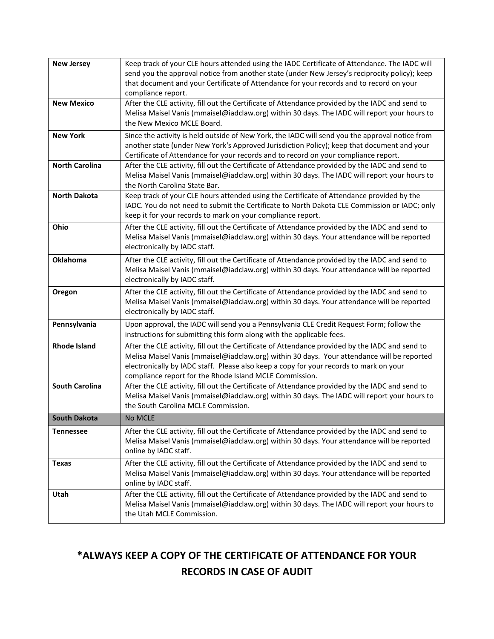| <b>New Jersey</b>     | Keep track of your CLE hours attended using the IADC Certificate of Attendance. The IADC will<br>send you the approval notice from another state (under New Jersey's reciprocity policy); keep<br>that document and your Certificate of Attendance for your records and to record on your<br>compliance report.                                    |
|-----------------------|----------------------------------------------------------------------------------------------------------------------------------------------------------------------------------------------------------------------------------------------------------------------------------------------------------------------------------------------------|
| <b>New Mexico</b>     | After the CLE activity, fill out the Certificate of Attendance provided by the IADC and send to<br>Melisa Maisel Vanis (mmaisel@iadclaw.org) within 30 days. The IADC will report your hours to<br>the New Mexico MCLE Board.                                                                                                                      |
| <b>New York</b>       | Since the activity is held outside of New York, the IADC will send you the approval notice from<br>another state (under New York's Approved Jurisdiction Policy); keep that document and your<br>Certificate of Attendance for your records and to record on your compliance report.                                                               |
| <b>North Carolina</b> | After the CLE activity, fill out the Certificate of Attendance provided by the IADC and send to<br>Melisa Maisel Vanis (mmaisel@iadclaw.org) within 30 days. The IADC will report your hours to<br>the North Carolina State Bar.                                                                                                                   |
| <b>North Dakota</b>   | Keep track of your CLE hours attended using the Certificate of Attendance provided by the<br>IADC. You do not need to submit the Certificate to North Dakota CLE Commission or IADC; only<br>keep it for your records to mark on your compliance report.                                                                                           |
| Ohio                  | After the CLE activity, fill out the Certificate of Attendance provided by the IADC and send to<br>Melisa Maisel Vanis (mmaisel@iadclaw.org) within 30 days. Your attendance will be reported<br>electronically by IADC staff.                                                                                                                     |
| Oklahoma              | After the CLE activity, fill out the Certificate of Attendance provided by the IADC and send to<br>Melisa Maisel Vanis (mmaisel@iadclaw.org) within 30 days. Your attendance will be reported<br>electronically by IADC staff.                                                                                                                     |
| Oregon                | After the CLE activity, fill out the Certificate of Attendance provided by the IADC and send to<br>Melisa Maisel Vanis (mmaisel@iadclaw.org) within 30 days. Your attendance will be reported<br>electronically by IADC staff.                                                                                                                     |
| Pennsylvania          | Upon approval, the IADC will send you a Pennsylvania CLE Credit Request Form; follow the<br>instructions for submitting this form along with the applicable fees.                                                                                                                                                                                  |
| <b>Rhode Island</b>   | After the CLE activity, fill out the Certificate of Attendance provided by the IADC and send to<br>Melisa Maisel Vanis (mmaisel@iadclaw.org) within 30 days. Your attendance will be reported<br>electronically by IADC staff. Please also keep a copy for your records to mark on your<br>compliance report for the Rhode Island MCLE Commission. |
| <b>South Carolina</b> | After the CLE activity, fill out the Certificate of Attendance provided by the IADC and send to<br>Melisa Maisel Vanis (mmaisel@iadclaw.org) within 30 days. The IADC will report your hours to<br>the South Carolina MCLE Commission.                                                                                                             |
| <b>South Dakota</b>   | No MCLE                                                                                                                                                                                                                                                                                                                                            |
| <b>Tennessee</b>      | After the CLE activity, fill out the Certificate of Attendance provided by the IADC and send to<br>Melisa Maisel Vanis (mmaisel@iadclaw.org) within 30 days. Your attendance will be reported<br>online by IADC staff.                                                                                                                             |
| <b>Texas</b>          | After the CLE activity, fill out the Certificate of Attendance provided by the IADC and send to<br>Melisa Maisel Vanis (mmaisel@iadclaw.org) within 30 days. Your attendance will be reported<br>online by IADC staff.                                                                                                                             |
| Utah                  | After the CLE activity, fill out the Certificate of Attendance provided by the IADC and send to<br>Melisa Maisel Vanis (mmaisel@iadclaw.org) within 30 days. The IADC will report your hours to<br>the Utah MCLE Commission.                                                                                                                       |